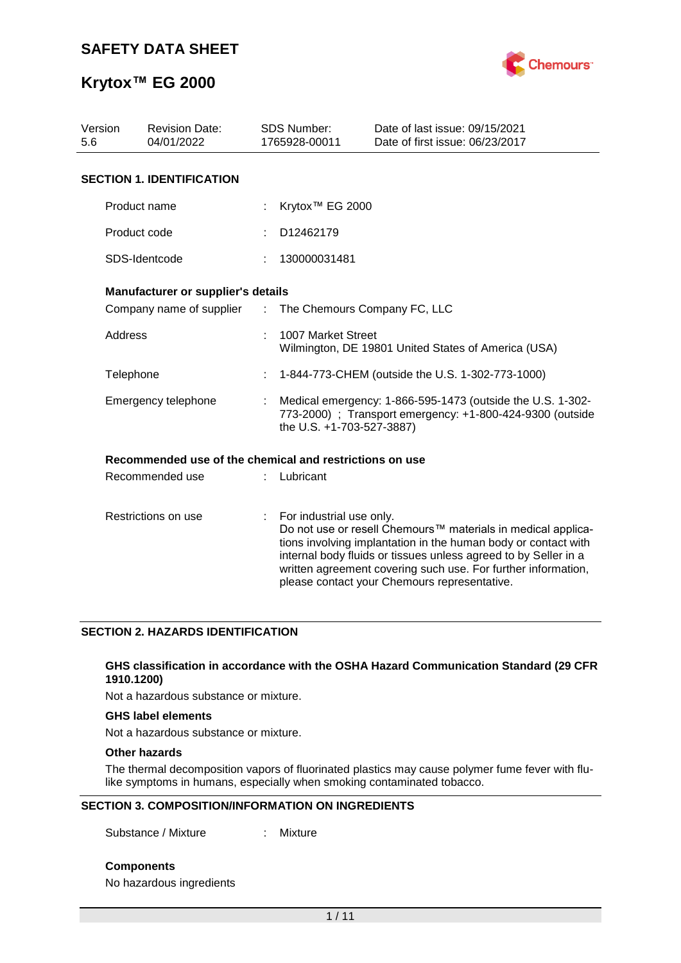

| Version<br><b>Revision Date:</b><br>04/01/2022<br>5.6 |                                                         |                               | <b>SDS Number:</b><br>1765928-00011                                                                                                                  | Date of last issue: 09/15/2021<br>Date of first issue: 06/23/2017                                                                                                                                                                                                                                                  |  |  |
|-------------------------------------------------------|---------------------------------------------------------|-------------------------------|------------------------------------------------------------------------------------------------------------------------------------------------------|--------------------------------------------------------------------------------------------------------------------------------------------------------------------------------------------------------------------------------------------------------------------------------------------------------------------|--|--|
|                                                       | <b>SECTION 1. IDENTIFICATION</b>                        |                               |                                                                                                                                                      |                                                                                                                                                                                                                                                                                                                    |  |  |
|                                                       | Product name                                            |                               | Krytox <sup>™</sup> EG 2000                                                                                                                          |                                                                                                                                                                                                                                                                                                                    |  |  |
|                                                       |                                                         |                               |                                                                                                                                                      |                                                                                                                                                                                                                                                                                                                    |  |  |
|                                                       | Product code                                            |                               | D12462179                                                                                                                                            |                                                                                                                                                                                                                                                                                                                    |  |  |
|                                                       | SDS-Identcode                                           |                               | 130000031481                                                                                                                                         |                                                                                                                                                                                                                                                                                                                    |  |  |
|                                                       | Manufacturer or supplier's details                      |                               |                                                                                                                                                      |                                                                                                                                                                                                                                                                                                                    |  |  |
|                                                       | Company name of supplier                                | $\mathcal{I}^{\mathcal{I}}$ . | The Chemours Company FC, LLC                                                                                                                         |                                                                                                                                                                                                                                                                                                                    |  |  |
| Address                                               |                                                         |                               | 1007 Market Street<br>Wilmington, DE 19801 United States of America (USA)                                                                            |                                                                                                                                                                                                                                                                                                                    |  |  |
|                                                       | Telephone                                               |                               | 1-844-773-CHEM (outside the U.S. 1-302-773-1000)                                                                                                     |                                                                                                                                                                                                                                                                                                                    |  |  |
|                                                       | Emergency telephone                                     |                               | Medical emergency: 1-866-595-1473 (outside the U.S. 1-302-<br>773-2000) ; Transport emergency: +1-800-424-9300 (outside<br>the U.S. +1-703-527-3887) |                                                                                                                                                                                                                                                                                                                    |  |  |
|                                                       | Recommended use of the chemical and restrictions on use |                               |                                                                                                                                                      |                                                                                                                                                                                                                                                                                                                    |  |  |
|                                                       | Recommended use                                         |                               | Lubricant                                                                                                                                            |                                                                                                                                                                                                                                                                                                                    |  |  |
| Restrictions on use                                   |                                                         | t.                            | For industrial use only.                                                                                                                             | Do not use or resell Chemours™ materials in medical applica-<br>tions involving implantation in the human body or contact with<br>internal body fluids or tissues unless agreed to by Seller in a<br>written agreement covering such use. For further information,<br>please contact your Chemours representative. |  |  |

### **SECTION 2. HAZARDS IDENTIFICATION**

#### **GHS classification in accordance with the OSHA Hazard Communication Standard (29 CFR 1910.1200)**

Not a hazardous substance or mixture.

#### **GHS label elements**

Not a hazardous substance or mixture.

### **Other hazards**

The thermal decomposition vapors of fluorinated plastics may cause polymer fume fever with flulike symptoms in humans, especially when smoking contaminated tobacco.

#### **SECTION 3. COMPOSITION/INFORMATION ON INGREDIENTS**

Substance / Mixture : Mixture

**Components**

No hazardous ingredients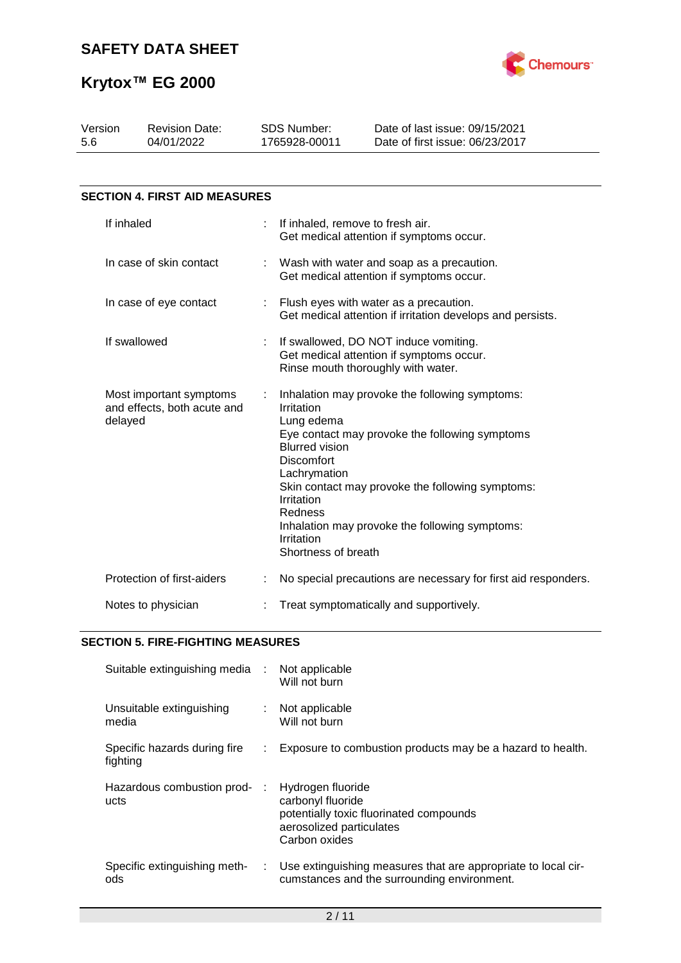

| Version<br>5.6                                                    | <b>Revision Date:</b><br>04/01/2022  | <b>SDS Number:</b><br>1765928-00011                                                                                                                         | Date of last issue: 09/15/2021<br>Date of first issue: 06/23/2017                                                                                                                                      |
|-------------------------------------------------------------------|--------------------------------------|-------------------------------------------------------------------------------------------------------------------------------------------------------------|--------------------------------------------------------------------------------------------------------------------------------------------------------------------------------------------------------|
|                                                                   | <b>SECTION 4. FIRST AID MEASURES</b> |                                                                                                                                                             |                                                                                                                                                                                                        |
|                                                                   | If inhaled                           | If inhaled, remove to fresh air.                                                                                                                            | Get medical attention if symptoms occur.                                                                                                                                                               |
|                                                                   | In case of skin contact              |                                                                                                                                                             | Wash with water and soap as a precaution.<br>Get medical attention if symptoms occur.                                                                                                                  |
| In case of eye contact                                            |                                      |                                                                                                                                                             | Flush eyes with water as a precaution.<br>Get medical attention if irritation develops and persists.                                                                                                   |
|                                                                   | If swallowed                         |                                                                                                                                                             | If swallowed, DO NOT induce vomiting.<br>Get medical attention if symptoms occur.<br>Rinse mouth thoroughly with water.                                                                                |
| Most important symptoms<br>and effects, both acute and<br>delayed |                                      | Irritation<br>Lung edema<br><b>Blurred vision</b><br><b>Discomfort</b><br>Lachrymation<br>Irritation<br><b>Redness</b><br>Irritation<br>Shortness of breath | Inhalation may provoke the following symptoms:<br>Eye contact may provoke the following symptoms<br>Skin contact may provoke the following symptoms:<br>Inhalation may provoke the following symptoms: |
|                                                                   | Protection of first-aiders           |                                                                                                                                                             | No special precautions are necessary for first aid responders.                                                                                                                                         |
|                                                                   | Notes to physician                   |                                                                                                                                                             | Treat symptomatically and supportively.                                                                                                                                                                |

### **SECTION 5. FIRE-FIGHTING MEASURES**

| Suitable extinguishing media :           |    | Not applicable<br>Will not burn                                                                                                |
|------------------------------------------|----|--------------------------------------------------------------------------------------------------------------------------------|
| Unsuitable extinguishing<br>media        |    | Not applicable<br>Will not burn                                                                                                |
| Specific hazards during fire<br>fighting | ÷. | Exposure to combustion products may be a hazard to health.                                                                     |
| Hazardous combustion prod-<br>ucts       |    | Hydrogen fluoride<br>carbonyl fluoride<br>potentially toxic fluorinated compounds<br>aerosolized particulates<br>Carbon oxides |
| Specific extinguishing meth-<br>ods      |    | : Use extinguishing measures that are appropriate to local cir-<br>cumstances and the surrounding environment.                 |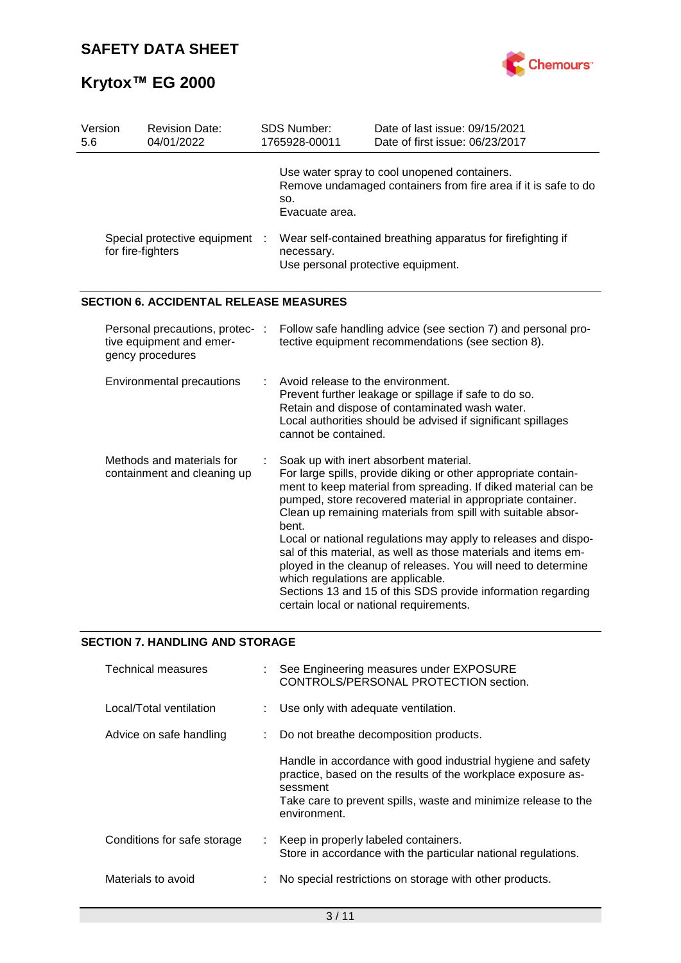

| Version<br>5.6 | <b>Revision Date:</b><br>04/01/2022                                             | <b>SDS Number:</b><br>1765928-00011                                                                             | Date of last issue: 09/15/2021<br>Date of first issue: 06/23/2017                                                                                                                                                                                                                                                                                                                                                                                                                                                                                                                                                        |  |  |
|----------------|---------------------------------------------------------------------------------|-----------------------------------------------------------------------------------------------------------------|--------------------------------------------------------------------------------------------------------------------------------------------------------------------------------------------------------------------------------------------------------------------------------------------------------------------------------------------------------------------------------------------------------------------------------------------------------------------------------------------------------------------------------------------------------------------------------------------------------------------------|--|--|
|                |                                                                                 | SO.<br>Evacuate area.                                                                                           | Use water spray to cool unopened containers.<br>Remove undamaged containers from fire area if it is safe to do                                                                                                                                                                                                                                                                                                                                                                                                                                                                                                           |  |  |
|                | Special protective equipment :<br>for fire-fighters                             | Wear self-contained breathing apparatus for firefighting if<br>necessary.<br>Use personal protective equipment. |                                                                                                                                                                                                                                                                                                                                                                                                                                                                                                                                                                                                                          |  |  |
|                | <b>SECTION 6. ACCIDENTAL RELEASE MEASURES</b>                                   |                                                                                                                 |                                                                                                                                                                                                                                                                                                                                                                                                                                                                                                                                                                                                                          |  |  |
|                | Personal precautions, protec- :<br>tive equipment and emer-<br>gency procedures |                                                                                                                 | Follow safe handling advice (see section 7) and personal pro-<br>tective equipment recommendations (see section 8).                                                                                                                                                                                                                                                                                                                                                                                                                                                                                                      |  |  |
|                | Environmental precautions                                                       | Avoid release to the environment.<br>cannot be contained.                                                       | Prevent further leakage or spillage if safe to do so.<br>Retain and dispose of contaminated wash water.<br>Local authorities should be advised if significant spillages                                                                                                                                                                                                                                                                                                                                                                                                                                                  |  |  |
|                | Methods and materials for<br>containment and cleaning up                        | bent.<br>which regulations are applicable.                                                                      | Soak up with inert absorbent material.<br>For large spills, provide diking or other appropriate contain-<br>ment to keep material from spreading. If diked material can be<br>pumped, store recovered material in appropriate container.<br>Clean up remaining materials from spill with suitable absor-<br>Local or national regulations may apply to releases and dispo-<br>sal of this material, as well as those materials and items em-<br>ployed in the cleanup of releases. You will need to determine<br>Sections 13 and 15 of this SDS provide information regarding<br>certain local or national requirements. |  |  |
|                |                                                                                 |                                                                                                                 |                                                                                                                                                                                                                                                                                                                                                                                                                                                                                                                                                                                                                          |  |  |

### **SECTION 7. HANDLING AND STORAGE**

| <b>Technical measures</b>   | : See Engineering measures under EXPOSURE<br>CONTROLS/PERSONAL PROTECTION section.                                                                                                                                         |
|-----------------------------|----------------------------------------------------------------------------------------------------------------------------------------------------------------------------------------------------------------------------|
| Local/Total ventilation     | : Use only with adequate ventilation.                                                                                                                                                                                      |
| Advice on safe handling     | Do not breathe decomposition products.                                                                                                                                                                                     |
|                             | Handle in accordance with good industrial hygiene and safety<br>practice, based on the results of the workplace exposure as-<br>sessment<br>Take care to prevent spills, waste and minimize release to the<br>environment. |
| Conditions for safe storage | : Keep in properly labeled containers.<br>Store in accordance with the particular national regulations.                                                                                                                    |
| Materials to avoid          | No special restrictions on storage with other products.                                                                                                                                                                    |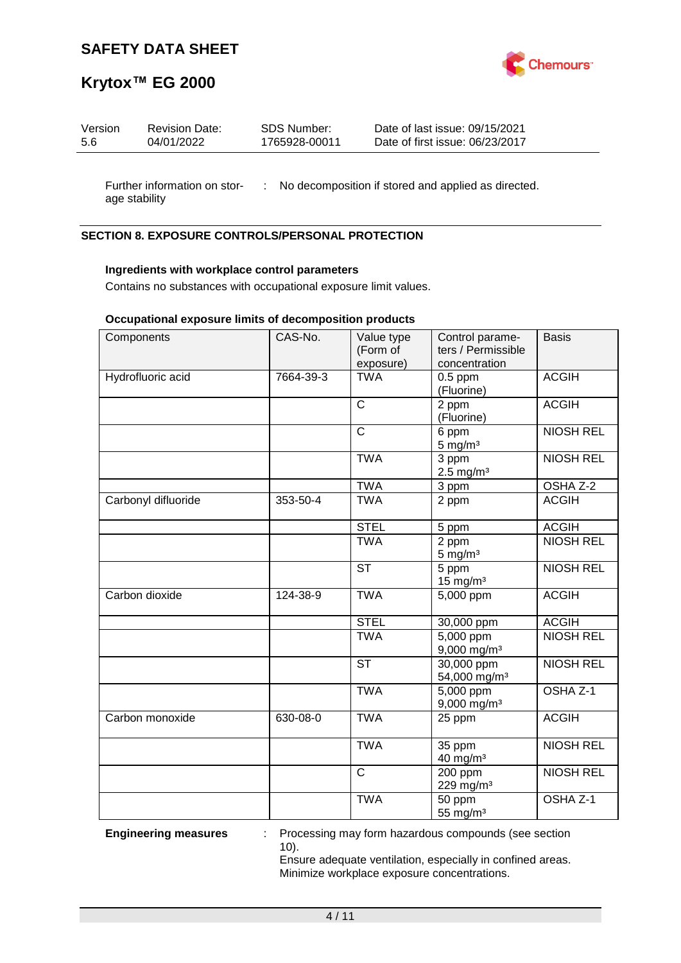

# **Krytox™ EG 2000**

| Version | <b>Revision Date:</b> | SDS Number:   | Date of last issue: 09/15/2021  |
|---------|-----------------------|---------------|---------------------------------|
| 5.6     | 04/01/2022            | 1765928-00011 | Date of first issue: 06/23/2017 |
|         |                       |               |                                 |

Further information on stor- : No decomposition if stored and applied as directed. age stability

### **SECTION 8. EXPOSURE CONTROLS/PERSONAL PROTECTION**

#### **Ingredients with workplace control parameters**

Contains no substances with occupational exposure limit values.

#### **Occupational exposure limits of decomposition products**

| Components          | CAS-No.   | Value type<br>(Form of<br>exposure) | Control parame-<br>ters / Permissible<br>concentration | <b>Basis</b>        |
|---------------------|-----------|-------------------------------------|--------------------------------------------------------|---------------------|
| Hydrofluoric acid   | 7664-39-3 | <b>TWA</b>                          | $0.5$ ppm<br>(Fluorine)                                | <b>ACGIH</b>        |
|                     |           | $\overline{\text{c}}$               | 2 ppm<br>(Fluorine)                                    | <b>ACGIH</b>        |
|                     |           | $\overline{\text{c}}$               | 6 ppm<br>$5$ mg/m <sup>3</sup>                         | <b>NIOSH REL</b>    |
|                     |           | <b>TWA</b>                          | 3 ppm<br>$2.5$ mg/m <sup>3</sup>                       | <b>NIOSH REL</b>    |
|                     |           | <b>TWA</b>                          | 3 ppm                                                  | OSHA Z-2            |
| Carbonyl difluoride | 353-50-4  | <b>TWA</b>                          | 2 ppm                                                  | <b>ACGIH</b>        |
|                     |           | <b>STEL</b>                         | 5 ppm                                                  | <b>ACGIH</b>        |
|                     |           | <b>TWA</b>                          | 2 ppm<br>$5$ mg/m <sup>3</sup>                         | <b>NIOSH REL</b>    |
|                     |           | <b>ST</b>                           | 5 ppm<br>$15$ mg/m <sup>3</sup>                        | <b>NIOSH REL</b>    |
| Carbon dioxide      | 124-38-9  | <b>TWA</b>                          | 5,000 ppm                                              | <b>ACGIH</b>        |
|                     |           | <b>STEL</b>                         | 30,000 ppm                                             | <b>ACGIH</b>        |
|                     |           | <b>TWA</b>                          | 5,000 ppm<br>9,000 mg/m <sup>3</sup>                   | <b>NIOSH REL</b>    |
|                     |           | $\overline{\text{ST}}$              | 30,000 ppm<br>54,000 mg/m <sup>3</sup>                 | <b>NIOSH REL</b>    |
|                     |           | <b>TWA</b>                          | 5,000 ppm<br>$9,000$ mg/m <sup>3</sup>                 | OSHA <sub>Z-1</sub> |
| Carbon monoxide     | 630-08-0  | <b>TWA</b>                          | 25 ppm                                                 | <b>ACGIH</b>        |
|                     |           | <b>TWA</b>                          | 35 ppm<br>40 mg/m <sup>3</sup>                         | <b>NIOSH REL</b>    |
|                     |           | $\mathsf{C}$                        | 200 ppm<br>229 mg/m <sup>3</sup>                       | <b>NIOSH REL</b>    |
|                     |           | <b>TWA</b>                          | 50 ppm<br>55 mg/m <sup>3</sup>                         | OSHA <sub>Z-1</sub> |

**Engineering measures** : Processing may form hazardous compounds (see section 10).

Ensure adequate ventilation, especially in confined areas. Minimize workplace exposure concentrations.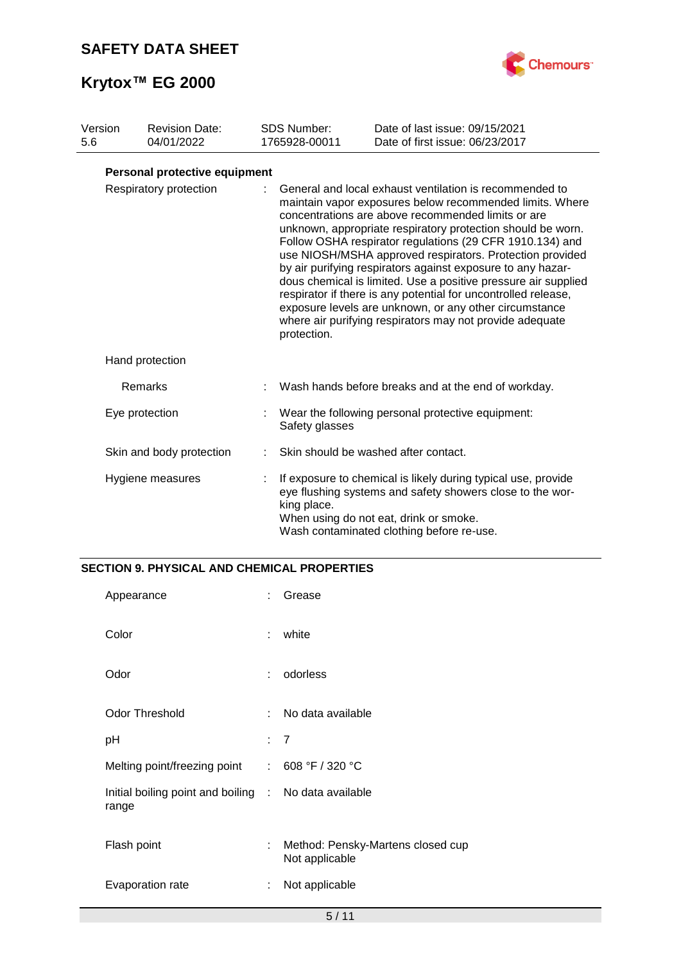

| Version<br>5.6 | <b>Revision Date:</b><br>04/01/2022 | <b>SDS Number:</b><br>1765928-00011 | Date of last issue: 09/15/2021<br>Date of first issue: 06/23/2017                                                                                                                                                                                                                                                                                                                                                                                                                                                                                                                                                                                                                         |
|----------------|-------------------------------------|-------------------------------------|-------------------------------------------------------------------------------------------------------------------------------------------------------------------------------------------------------------------------------------------------------------------------------------------------------------------------------------------------------------------------------------------------------------------------------------------------------------------------------------------------------------------------------------------------------------------------------------------------------------------------------------------------------------------------------------------|
|                | Personal protective equipment       |                                     |                                                                                                                                                                                                                                                                                                                                                                                                                                                                                                                                                                                                                                                                                           |
|                | Respiratory protection              | protection.                         | General and local exhaust ventilation is recommended to<br>maintain vapor exposures below recommended limits. Where<br>concentrations are above recommended limits or are<br>unknown, appropriate respiratory protection should be worn.<br>Follow OSHA respirator regulations (29 CFR 1910.134) and<br>use NIOSH/MSHA approved respirators. Protection provided<br>by air purifying respirators against exposure to any hazar-<br>dous chemical is limited. Use a positive pressure air supplied<br>respirator if there is any potential for uncontrolled release,<br>exposure levels are unknown, or any other circumstance<br>where air purifying respirators may not provide adequate |
|                | Hand protection                     |                                     |                                                                                                                                                                                                                                                                                                                                                                                                                                                                                                                                                                                                                                                                                           |
|                | Remarks                             |                                     | Wash hands before breaks and at the end of workday.                                                                                                                                                                                                                                                                                                                                                                                                                                                                                                                                                                                                                                       |
|                | Eye protection                      | Safety glasses                      | Wear the following personal protective equipment:                                                                                                                                                                                                                                                                                                                                                                                                                                                                                                                                                                                                                                         |
|                | Skin and body protection            |                                     | Skin should be washed after contact.                                                                                                                                                                                                                                                                                                                                                                                                                                                                                                                                                                                                                                                      |
|                | Hygiene measures                    | king place.                         | If exposure to chemical is likely during typical use, provide<br>eye flushing systems and safety showers close to the wor-<br>When using do not eat, drink or smoke.<br>Wash contaminated clothing before re-use.                                                                                                                                                                                                                                                                                                                                                                                                                                                                         |

### **SECTION 9. PHYSICAL AND CHEMICAL PROPERTIES**

| Appearance                                                     |     | Grease                                              |
|----------------------------------------------------------------|-----|-----------------------------------------------------|
| Color                                                          | ÷   | white                                               |
| Odor                                                           | ÷.  | odorless                                            |
| <b>Odor Threshold</b>                                          | ÷   | No data available                                   |
| рH                                                             | : 7 |                                                     |
| Melting point/freezing point : 608 °F / 320 °C                 |     |                                                     |
| Initial boiling point and boiling : No data available<br>range |     |                                                     |
| Flash point                                                    | ÷   | Method: Pensky-Martens closed cup<br>Not applicable |
| Evaporation rate                                               | ÷   | Not applicable                                      |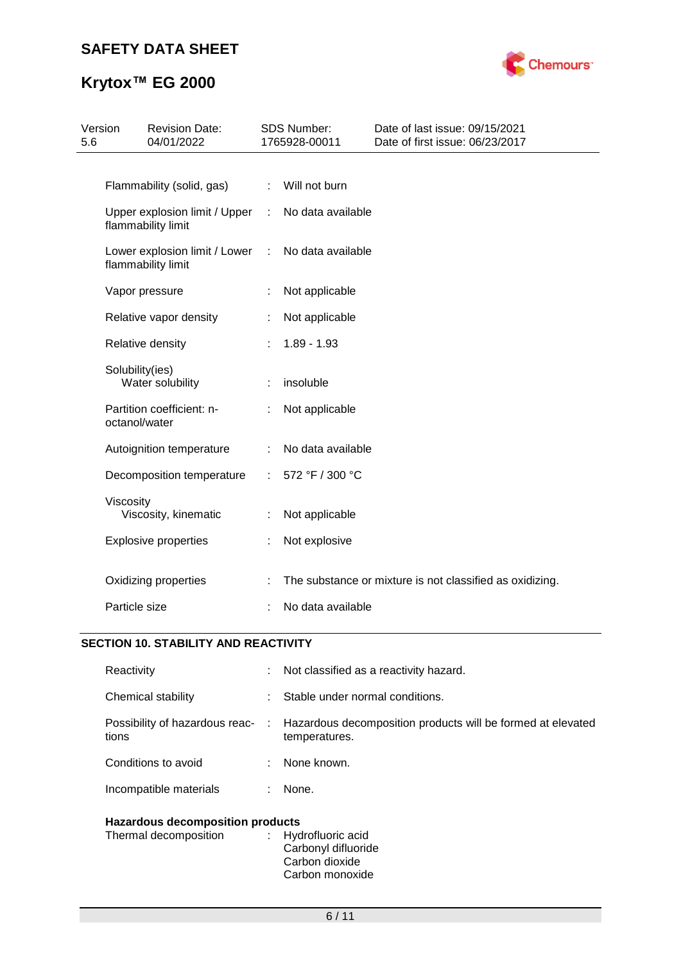

# **Krytox™ EG 2000**

| Version<br>5.6 |                 | <b>Revision Date:</b><br>04/01/2022                 |                | <b>SDS Number:</b><br>1765928-00011 | Date of last issue: 09/15/2021<br>Date of first issue: 06/23/2017 |
|----------------|-----------------|-----------------------------------------------------|----------------|-------------------------------------|-------------------------------------------------------------------|
|                |                 |                                                     |                |                                     |                                                                   |
|                |                 | Flammability (solid, gas)                           | ÷.             | Will not burn                       |                                                                   |
|                |                 | Upper explosion limit / Upper<br>flammability limit | $\mathbb{R}^n$ | No data available                   |                                                                   |
|                |                 | Lower explosion limit / Lower<br>flammability limit | $\mathcal{L}$  | No data available                   |                                                                   |
|                |                 | Vapor pressure                                      |                | Not applicable                      |                                                                   |
|                |                 | Relative vapor density                              |                | Not applicable                      |                                                                   |
|                |                 | Relative density                                    |                | $1.89 - 1.93$                       |                                                                   |
|                | Solubility(ies) | Water solubility                                    |                | insoluble                           |                                                                   |
|                | octanol/water   | Partition coefficient: n-                           |                | Not applicable                      |                                                                   |
|                |                 | Autoignition temperature                            | ÷              | No data available                   |                                                                   |
|                |                 | Decomposition temperature                           | ÷              | 572 °F / 300 °C                     |                                                                   |
|                | Viscosity       | Viscosity, kinematic                                |                | Not applicable                      |                                                                   |
|                |                 | <b>Explosive properties</b>                         |                | Not explosive                       |                                                                   |
|                |                 | Oxidizing properties                                |                |                                     | The substance or mixture is not classified as oxidizing.          |
|                | Particle size   |                                                     |                | No data available                   |                                                                   |

## **SECTION 10. STABILITY AND REACTIVITY**

| Reactivity                              | t i | Not classified as a reactivity hazard.                                       |
|-----------------------------------------|-----|------------------------------------------------------------------------------|
| Chemical stability                      | ÷.  | Stable under normal conditions.                                              |
| Possibility of hazardous reac-<br>tions | ÷.  | Hazardous decomposition products will be formed at elevated<br>temperatures. |
| Conditions to avoid                     | ÷.  | None known.                                                                  |
| Incompatible materials                  | ÷.  | None.                                                                        |
|                                         |     |                                                                              |

### **Hazardous decomposition products**

| Thermal decomposition | : Hydrofluoric acid<br>Carbonyl difluoride |
|-----------------------|--------------------------------------------|
|                       | Carbon dioxide                             |
|                       | Carbon monoxide                            |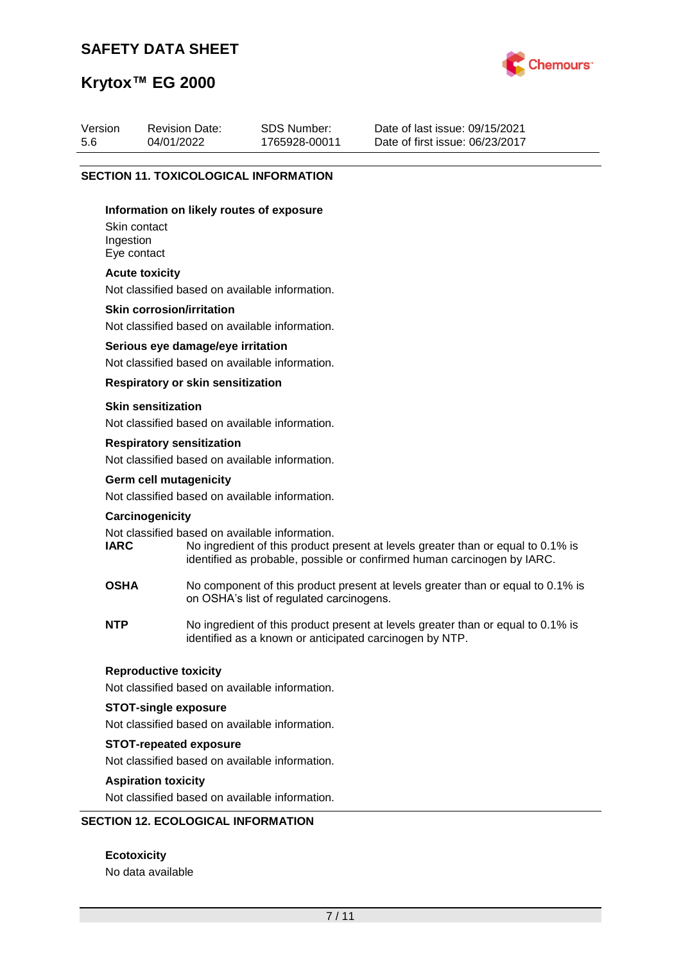

## **Krytox™ EG 2000**

| Version | <b>Revision Date:</b> | SDS Number:   | Date of last issue: 09/15/2021  |
|---------|-----------------------|---------------|---------------------------------|
| 5.6     | 04/01/2022            | 1765928-00011 | Date of first issue: 06/23/2017 |

#### **SECTION 11. TOXICOLOGICAL INFORMATION**

#### **Information on likely routes of exposure**

Skin contact Ingestion Eye contact

#### **Acute toxicity**

Not classified based on available information.

#### **Skin corrosion/irritation**

Not classified based on available information.

#### **Serious eye damage/eye irritation**

Not classified based on available information.

#### **Respiratory or skin sensitization**

#### **Skin sensitization**

Not classified based on available information.

#### **Respiratory sensitization**

Not classified based on available information.

# **Germ cell mutagenicity**

Not classified based on available information.

#### **Carcinogenicity**

Not classified based on available information.<br> **IARC** No ingredient of this product to

- No ingredient of this product present at levels greater than or equal to 0.1% is identified as probable, possible or confirmed human carcinogen by IARC.
- **OSHA** No component of this product present at levels greater than or equal to 0.1% is on OSHA's list of regulated carcinogens.
- **NTP** No ingredient of this product present at levels greater than or equal to 0.1% is identified as a known or anticipated carcinogen by NTP.

#### **Reproductive toxicity**

Not classified based on available information.

#### **STOT-single exposure**

Not classified based on available information.

#### **STOT-repeated exposure**

Not classified based on available information.

#### **Aspiration toxicity**

Not classified based on available information.

#### **SECTION 12. ECOLOGICAL INFORMATION**

**Ecotoxicity** No data available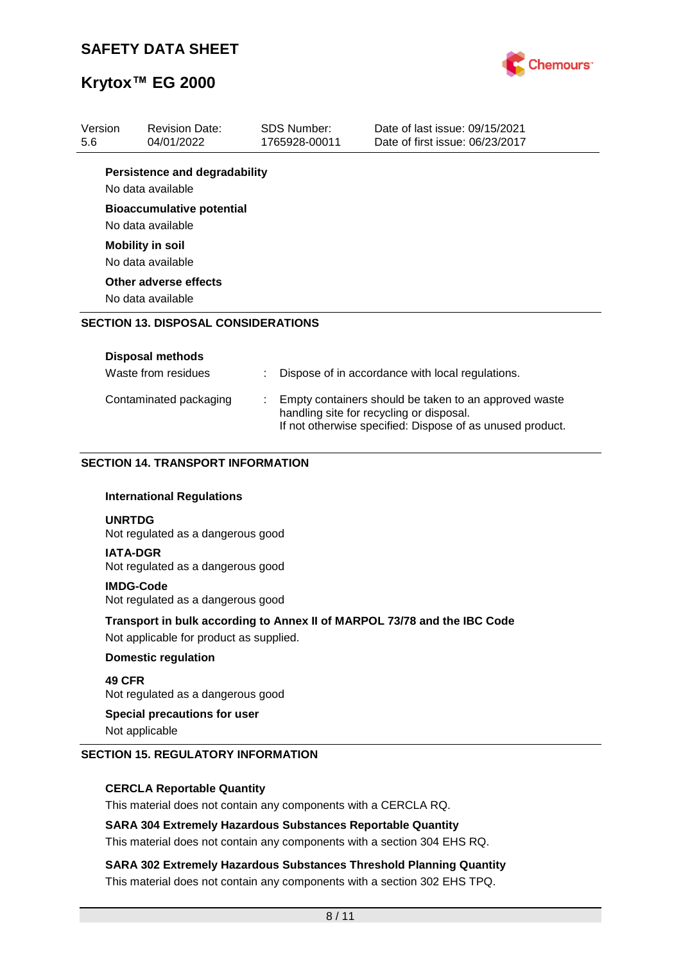

| Version<br>5.6 | <b>Revision Date:</b><br>04/01/2022                                                                                         |  | <b>SDS Number:</b><br>1765928-00011 | Date of last issue: 09/15/2021<br>Date of first issue: 06/23/2017        |
|----------------|-----------------------------------------------------------------------------------------------------------------------------|--|-------------------------------------|--------------------------------------------------------------------------|
|                | <b>Persistence and degradability</b>                                                                                        |  |                                     |                                                                          |
|                | No data available                                                                                                           |  |                                     |                                                                          |
|                | <b>Bioaccumulative potential</b>                                                                                            |  |                                     |                                                                          |
|                | No data available                                                                                                           |  |                                     |                                                                          |
|                | <b>Mobility in soil</b>                                                                                                     |  |                                     |                                                                          |
|                | No data available                                                                                                           |  |                                     |                                                                          |
|                | Other adverse effects                                                                                                       |  |                                     |                                                                          |
|                | No data available                                                                                                           |  |                                     |                                                                          |
|                | <b>SECTION 13. DISPOSAL CONSIDERATIONS</b>                                                                                  |  |                                     |                                                                          |
|                |                                                                                                                             |  |                                     |                                                                          |
|                | <b>Disposal methods</b>                                                                                                     |  |                                     |                                                                          |
|                | Waste from residues<br>Dispose of in accordance with local regulations.                                                     |  |                                     |                                                                          |
|                | Contaminated packaging<br>Empty containers should be taken to an approved waste<br>handling site for recycling or disposal. |  |                                     |                                                                          |
|                |                                                                                                                             |  |                                     | If not otherwise specified: Dispose of as unused product.                |
|                | <b>SECTION 14. TRANSPORT INFORMATION</b>                                                                                    |  |                                     |                                                                          |
|                |                                                                                                                             |  |                                     |                                                                          |
|                | <b>International Regulations</b>                                                                                            |  |                                     |                                                                          |
| <b>UNRTDG</b>  | Not regulated as a dangerous good                                                                                           |  |                                     |                                                                          |
|                | <b>IATA-DGR</b><br>Not regulated as a dangerous good                                                                        |  |                                     |                                                                          |
|                | <b>IMDG-Code</b><br>Not regulated as a dangerous good                                                                       |  |                                     |                                                                          |
|                | Not applicable for product as supplied.                                                                                     |  |                                     | Transport in bulk according to Annex II of MARPOL 73/78 and the IBC Code |

#### **Domestic regulation**

**49 CFR**

Not regulated as a dangerous good

### **Special precautions for user**

Not applicable

#### **SECTION 15. REGULATORY INFORMATION**

#### **CERCLA Reportable Quantity**

This material does not contain any components with a CERCLA RQ.

#### **SARA 304 Extremely Hazardous Substances Reportable Quantity**

This material does not contain any components with a section 304 EHS RQ.

**SARA 302 Extremely Hazardous Substances Threshold Planning Quantity** This material does not contain any components with a section 302 EHS TPQ.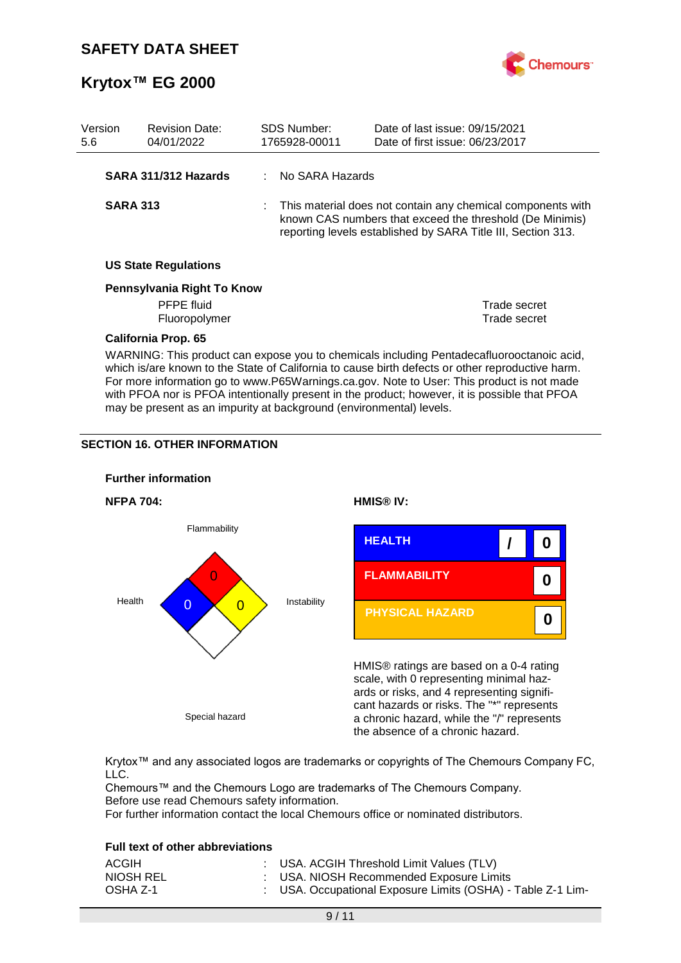

| Version<br>5.6 |                                                                                                                                                                                                                                                                                            | <b>Revision Date:</b><br>04/01/2022 |  | <b>SDS Number:</b><br>1765928-00011 | Date of last issue: 09/15/2021<br>Date of first issue: 06/23/2017                                                                                                                         |
|----------------|--------------------------------------------------------------------------------------------------------------------------------------------------------------------------------------------------------------------------------------------------------------------------------------------|-------------------------------------|--|-------------------------------------|-------------------------------------------------------------------------------------------------------------------------------------------------------------------------------------------|
|                |                                                                                                                                                                                                                                                                                            | SARA 311/312 Hazards                |  | No SARA Hazards                     |                                                                                                                                                                                           |
|                | <b>SARA 313</b>                                                                                                                                                                                                                                                                            |                                     |  |                                     | : This material does not contain any chemical components with<br>known CAS numbers that exceed the threshold (De Minimis)<br>reporting levels established by SARA Title III, Section 313. |
|                |                                                                                                                                                                                                                                                                                            | <b>US State Regulations</b>         |  |                                     |                                                                                                                                                                                           |
|                |                                                                                                                                                                                                                                                                                            | Pennsylvania Right To Know          |  |                                     |                                                                                                                                                                                           |
|                |                                                                                                                                                                                                                                                                                            | <b>PFPE</b> fluid                   |  |                                     | Trade secret                                                                                                                                                                              |
|                |                                                                                                                                                                                                                                                                                            | Fluoropolymer                       |  |                                     | Trade secret                                                                                                                                                                              |
|                |                                                                                                                                                                                                                                                                                            | <b>California Prop. 65</b>          |  |                                     |                                                                                                                                                                                           |
|                | WARNING: This product can expose you to chemicals including Pentadecafluorooctanoic acid,<br>which is/are known to the State of California to cause birth defects or other reproductive harm.<br>For more information go to www.P65Warnings.ca.gov. Note to User: This product is not made |                                     |  |                                     |                                                                                                                                                                                           |

with PFOA nor is PFOA intentionally present in the product; however, it is possible that PFOA

may be present as an impurity at background (environmental) levels.

#### **SECTION 16. OTHER INFORMATION**



Krytox™ and any associated logos are trademarks or copyrights of The Chemours Company FC, LLC.

Chemours™ and the Chemours Logo are trademarks of The Chemours Company. Before use read Chemours safety information.

For further information contact the local Chemours office or nominated distributors.

#### **Full text of other abbreviations**

| ACGIH     | : USA. ACGIH Threshold Limit Values (TLV)                   |
|-----------|-------------------------------------------------------------|
| NIOSH REL | : USA. NIOSH Recommended Exposure Limits                    |
| OSHA Z-1  | : USA. Occupational Exposure Limits (OSHA) - Table Z-1 Lim- |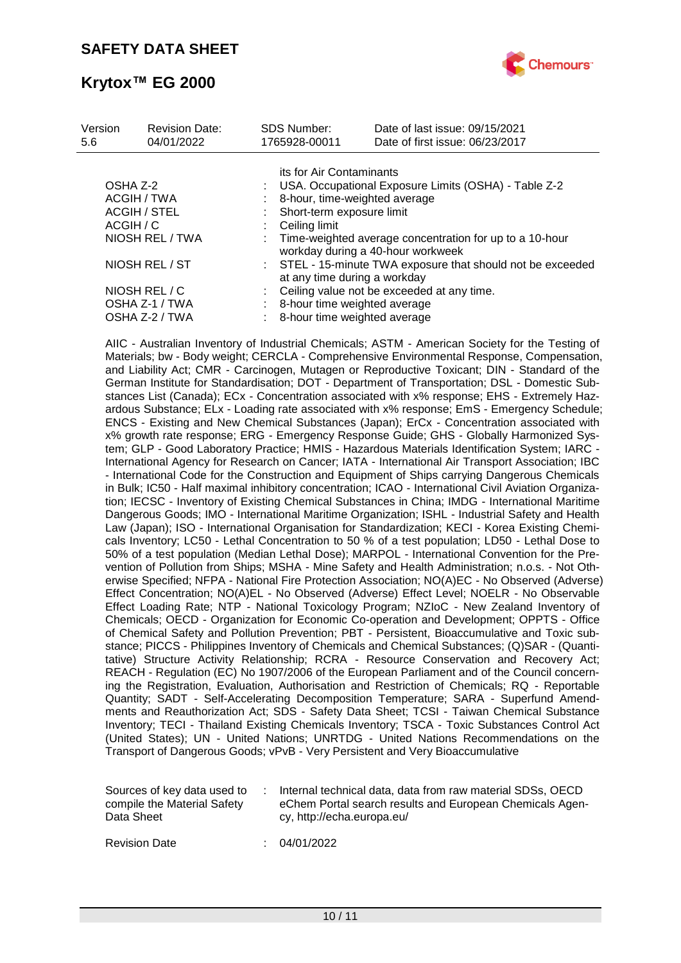

| Version<br>5.6 | <b>Revision Date:</b><br>04/01/2022 | <b>SDS Number:</b><br>1765928-00011 | Date of last issue: 09/15/2021<br>Date of first issue: 06/23/2017                            |
|----------------|-------------------------------------|-------------------------------------|----------------------------------------------------------------------------------------------|
|                |                                     |                                     | its for Air Contaminants                                                                     |
| OSHA Z-2       |                                     |                                     | USA. Occupational Exposure Limits (OSHA) - Table Z-2                                         |
|                | ACGIH / TWA                         |                                     | 8-hour, time-weighted average                                                                |
|                | <b>ACGIH / STEL</b>                 |                                     | Short-term exposure limit                                                                    |
| ACGIH / C      |                                     | Ceiling limit                       |                                                                                              |
|                | NIOSH REL / TWA                     |                                     | Time-weighted average concentration for up to a 10-hour<br>workday during a 40-hour workweek |
|                | NIOSH REL / ST                      |                                     | : STEL - 15-minute TWA exposure that should not be exceeded<br>at any time during a workday  |
|                | NIOSH REL / C                       |                                     | Ceiling value not be exceeded at any time.                                                   |
|                | OSHA Z-1 / TWA                      |                                     | 8-hour time weighted average                                                                 |
|                | OSHA Z-2 / TWA                      |                                     | 8-hour time weighted average                                                                 |

AIIC - Australian Inventory of Industrial Chemicals; ASTM - American Society for the Testing of Materials; bw - Body weight; CERCLA - Comprehensive Environmental Response, Compensation, and Liability Act; CMR - Carcinogen, Mutagen or Reproductive Toxicant; DIN - Standard of the German Institute for Standardisation; DOT - Department of Transportation; DSL - Domestic Substances List (Canada); ECx - Concentration associated with x% response; EHS - Extremely Hazardous Substance; ELx - Loading rate associated with x% response; EmS - Emergency Schedule; ENCS - Existing and New Chemical Substances (Japan); ErCx - Concentration associated with x% growth rate response; ERG - Emergency Response Guide; GHS - Globally Harmonized System; GLP - Good Laboratory Practice; HMIS - Hazardous Materials Identification System; IARC - International Agency for Research on Cancer; IATA - International Air Transport Association; IBC - International Code for the Construction and Equipment of Ships carrying Dangerous Chemicals in Bulk; IC50 - Half maximal inhibitory concentration; ICAO - International Civil Aviation Organization; IECSC - Inventory of Existing Chemical Substances in China; IMDG - International Maritime Dangerous Goods; IMO - International Maritime Organization; ISHL - Industrial Safety and Health Law (Japan); ISO - International Organisation for Standardization; KECI - Korea Existing Chemicals Inventory; LC50 - Lethal Concentration to 50 % of a test population; LD50 - Lethal Dose to 50% of a test population (Median Lethal Dose); MARPOL - International Convention for the Prevention of Pollution from Ships; MSHA - Mine Safety and Health Administration; n.o.s. - Not Otherwise Specified; NFPA - National Fire Protection Association; NO(A)EC - No Observed (Adverse) Effect Concentration; NO(A)EL - No Observed (Adverse) Effect Level; NOELR - No Observable Effect Loading Rate; NTP - National Toxicology Program; NZIoC - New Zealand Inventory of Chemicals; OECD - Organization for Economic Co-operation and Development; OPPTS - Office of Chemical Safety and Pollution Prevention; PBT - Persistent, Bioaccumulative and Toxic substance; PICCS - Philippines Inventory of Chemicals and Chemical Substances; (Q)SAR - (Quantitative) Structure Activity Relationship; RCRA - Resource Conservation and Recovery Act; REACH - Regulation (EC) No 1907/2006 of the European Parliament and of the Council concerning the Registration, Evaluation, Authorisation and Restriction of Chemicals; RQ - Reportable Quantity; SADT - Self-Accelerating Decomposition Temperature; SARA - Superfund Amendments and Reauthorization Act; SDS - Safety Data Sheet; TCSI - Taiwan Chemical Substance Inventory; TECI - Thailand Existing Chemicals Inventory; TSCA - Toxic Substances Control Act (United States); UN - United Nations; UNRTDG - United Nations Recommendations on the Transport of Dangerous Goods; vPvB - Very Persistent and Very Bioaccumulative

| Sources of key data used to<br>compile the Material Safety<br>Data Sheet |  | Internal technical data, data from raw material SDSs, OECD<br>eChem Portal search results and European Chemicals Agen-<br>cy, http://echa.europa.eu/ |
|--------------------------------------------------------------------------|--|------------------------------------------------------------------------------------------------------------------------------------------------------|
|--------------------------------------------------------------------------|--|------------------------------------------------------------------------------------------------------------------------------------------------------|

Revision Date : 04/01/2022